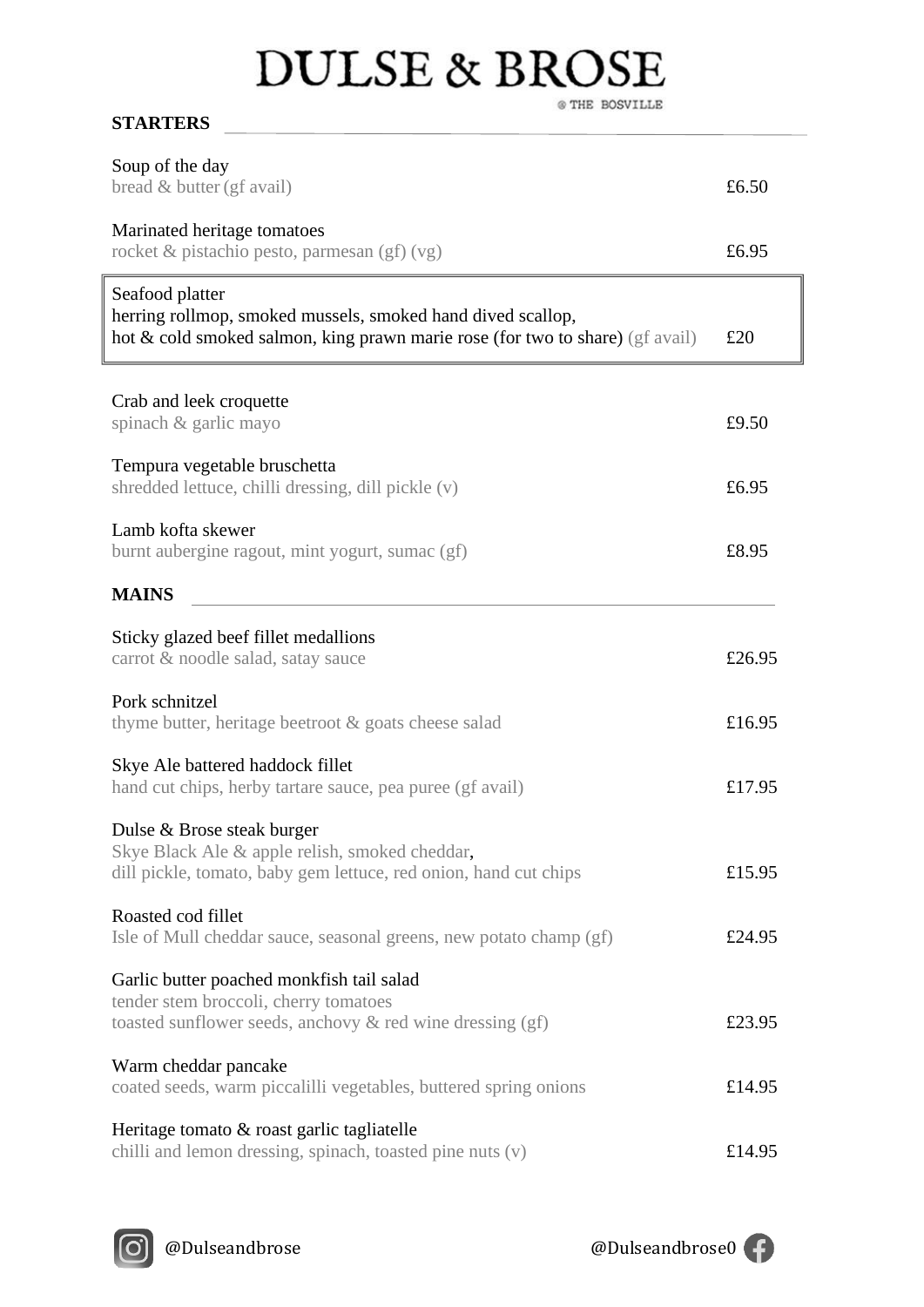## **DULSE & BROSE**  $\circledast$  THE BOSVILLE

| Soup of the day<br>bread & butter (gf avail)                                                                                                                    | £6.50  |
|-----------------------------------------------------------------------------------------------------------------------------------------------------------------|--------|
| Marinated heritage tomatoes<br>rocket & pistachio pesto, parmesan $(gf)(vg)$                                                                                    | £6.95  |
| Seafood platter<br>herring rollmop, smoked mussels, smoked hand dived scallop,<br>hot & cold smoked salmon, king prawn marie rose (for two to share) (gf avail) | £20    |
| Crab and leek croquette<br>spinach & garlic mayo                                                                                                                | £9.50  |
| Tempura vegetable bruschetta<br>shredded lettuce, chilli dressing, dill pickle (v)                                                                              | £6.95  |
| Lamb kofta skewer<br>burnt aubergine ragout, mint yogurt, sumac (gf)                                                                                            | £8.95  |
| <b>MAINS</b>                                                                                                                                                    |        |
| Sticky glazed beef fillet medallions<br>carrot & noodle salad, satay sauce                                                                                      | £26.95 |
| Pork schnitzel<br>thyme butter, heritage beetroot & goats cheese salad                                                                                          | £16.95 |
| Skye Ale battered haddock fillet<br>hand cut chips, herby tartare sauce, pea puree (gf avail)                                                                   | £17.95 |
| Dulse & Brose steak burger<br>Skye Black Ale & apple relish, smoked cheddar,<br>dill pickle, tomato, baby gem lettuce, red onion, hand cut chips                | £15.95 |
| Roasted cod fillet<br>Isle of Mull cheddar sauce, seasonal greens, new potato champ (gf)                                                                        | £24.95 |
| Garlic butter poached monkfish tail salad<br>tender stem broccoli, cherry tomatoes<br>toasted sunflower seeds, anchovy & red wine dressing (gf)                 | £23.95 |
| Warm cheddar pancake<br>coated seeds, warm piccalilli vegetables, buttered spring onions                                                                        | £14.95 |
| Heritage tomato & roast garlic tagliatelle                                                                                                                      |        |